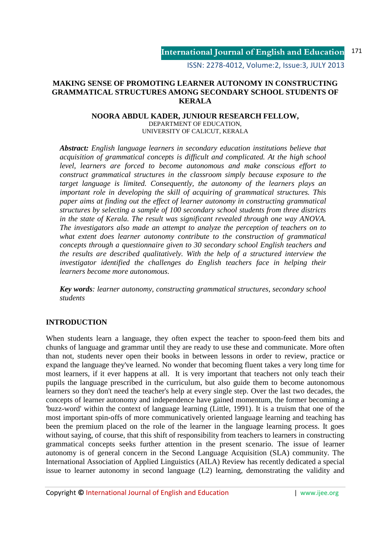ISSN: 2278-4012, Volume:2, Issue:3, JULY 2013

## **MAKING SENSE OF PROMOTING LEARNER AUTONOMY IN CONSTRUCTING GRAMMATICAL STRUCTURES AMONG SECONDARY SCHOOL STUDENTS OF KERALA**

#### **NOORA ABDUL KADER, JUNIOUR RESEARCH FELLOW,**  DEPARTMENT OF EDUCATION, UNIVERSITY OF CALICUT, KERALA

*Abstract: English language learners in secondary education institutions believe that acquisition of grammatical concepts is difficult and complicated. At the high school level, learners are forced to become autonomous and make conscious effort to construct grammatical structures in the classroom simply because exposure to the target language is limited. Consequently, the autonomy of the learners plays an important role in developing the skill of acquiring of grammatical structures. This paper aims at finding out the effect of learner autonomy in constructing grammatical structures by selecting a sample of 100 secondary school students from three districts in the state of Kerala. The result was significant revealed through one way ANOVA. The investigators also made an attempt to analyze the perception of teachers on to what extent does learner autonomy contribute to the construction of grammatical concepts through a questionnaire given to 30 secondary school English teachers and the results are described qualitatively. With the help of a structured interview the investigator identified the challenges do English teachers face in helping their learners become more autonomous.* 

*Key words: learner autonomy, constructing grammatical structures, secondary school students* 

## **INTRODUCTION**

When students learn a language, they often expect the teacher to spoon-feed them bits and chunks of language and grammar until they are ready to use these and communicate. More often than not, students never open their books in between lessons in order to review, practice or expand the language they've learned. No wonder that becoming fluent takes a very long time for most learners, if it ever happens at all. It is very important that teachers not only teach their pupils the language prescribed in the curriculum, but also guide them to become autonomous learners so they don't need the teacher's help at every single step. Over the last two decades, the concepts of learner autonomy and independence have gained momentum, the former becoming a 'buzz-word' within the context of language learning (Little, 1991). It is a truism that one of the most important spin-offs of more communicatively oriented language learning and teaching has been the premium placed on the role of the learner in the language learning process. It goes without saying, of course, that this shift of responsibility from teachers to learners in constructing grammatical concepts seeks further attention in the present scenario. The issue of learner autonomy is of general concern in the Second Language Acquisition (SLA) community. The International Association of Applied Linguistics (AILA) Review has recently dedicated a special issue to learner autonomy in second language (L2) learning, demonstrating the validity and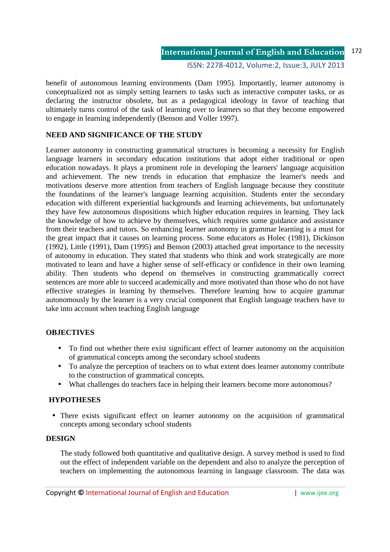ISSN: 2278-4012, Volume:2, Issue:3, JULY 2013

benefit of autonomous learning environments (Dam 1995). Importantly, learner autonomy is conceptualized not as simply setting learners to tasks such as interactive computer tasks, or as declaring the instructor obsolete, but as a pedagogical ideology in favor of teaching that ultimately turns control of the task of learning over to learners so that they become empowered to engage in learning independently (Benson and Voller 1997).

## **NEED AND SIGNIFICANCE OF THE STUDY**

Learner autonomy in constructing grammatical structures is becoming a necessity for English language learners in secondary education institutions that adopt either traditional or open education nowadays. It plays a prominent role in developing the learners' language acquisition and achievement. The new trends in education that emphasize the learner's needs and motivations deserve more attention from teachers of English language because they constitute the foundations of the learner's language learning acquisition. Students enter the secondary education with different experiential backgrounds and learning achievements, but unfortunately they have few autonomous dispositions which higher education requires in learning. They lack the knowledge of how to achieve by themselves, which requires some guidance and assistance from their teachers and tutors. So enhancing learner autonomy in grammar learning is a must for the great impact that it causes on learning process. Some educators as Holec (1981), Dickinson (1992), Little (1991), Dam (1995) and Benson (2003) attached great importance to the necessity of autonomy in education. They stated that students who think and work strategically are more motivated to learn and have a higher sense of self-efficacy or confidence in their own learning ability. Then students who depend on themselves in constructing grammatically correct sentences are more able to succeed academically and more motivated than those who do not have effective strategies in learning by themselves. Therefore learning how to acquire grammar autonomously by the learner is a very crucial component that English language teachers have to take into account when teaching English language

### **OBJECTIVES**

- To find out whether there exist significant effect of learner autonomy on the acquisition of grammatical concepts among the secondary school students
- To analyze the perception of teachers on to what extent does learner autonomy contribute to the construction of grammatical concepts.
- What challenges do teachers face in helping their learners become more autonomous?

## **HYPOTHESES**

• There exists significant effect on learner autonomy on the acquisition of grammatical concepts among secondary school students

### **DESIGN**

The study followed both quantitative and qualitative design. A survey method is used to find out the effect of independent variable on the dependent and also to analyze the perception of teachers on implementing the autonomous learning in language classroom. The data was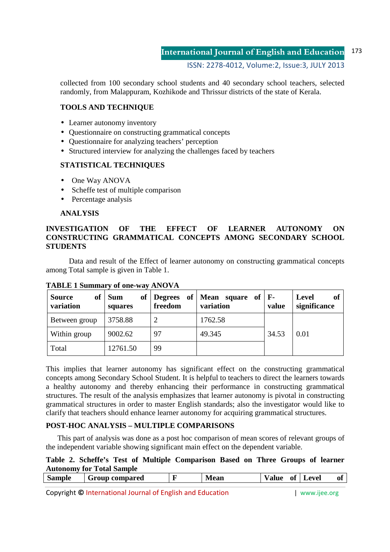ISSN: 2278-4012, Volume:2, Issue:3, JULY 2013

collected from 100 secondary school students and 40 secondary school teachers, selected randomly, from Malappuram, Kozhikode and Thrissur districts of the state of Kerala.

## **TOOLS AND TECHNIQUE**

- Learner autonomy inventory
- Questionnaire on constructing grammatical concepts
- Ouestionnaire for analyzing teachers' perception
- Structured interview for analyzing the challenges faced by teachers

## **STATISTICAL TECHNIQUES**

- One Way ANOVA
- Scheffe test of multiple comparison
- Percentage analysis

### **ANALYSIS**

## **INVESTIGATION OF THE EFFECT OF LEARNER AUTONOMY ON CONSTRUCTING GRAMMATICAL CONCEPTS AMONG SECONDARY SCHOOL STUDENTS**

 Data and result of the Effect of learner autonomy on constructing grammatical concepts among Total sample is given in Table 1.

| <b>Source</b><br>variation | of   Sum<br>squares | of   Degrees of $\vert$<br>freedom | <b>Mean</b> square of $\mathbf{F}$ -<br>variation | value | <b>Level</b><br>оf<br>significance |
|----------------------------|---------------------|------------------------------------|---------------------------------------------------|-------|------------------------------------|
| Between group              | 3758.88             |                                    | 1762.58                                           |       |                                    |
| Within group               | 9002.62             | 97                                 | 49.345                                            | 34.53 | 0.01                               |
| Total                      | 12761.50            | 99                                 |                                                   |       |                                    |

**TABLE 1 Summary of one-way ANOVA** 

This implies that learner autonomy has significant effect on the constructing grammatical concepts among Secondary School Student. It is helpful to teachers to direct the learners towards a healthy autonomy and thereby enhancing their performance in constructing grammatical structures. The result of the analysis emphasizes that learner autonomy is pivotal in constructing grammatical structures in order to master English standards; also the investigator would like to clarify that teachers should enhance learner autonomy for acquiring grammatical structures.

# **POST-HOC ANALYSIS – MULTIPLE COMPARISONS**

This part of analysis was done as a post hoc comparison of mean scores of relevant groups of the independent variable showing significant main effect on the dependent variable.

## **Table 2. Scheffe's Test of Multiple Comparison Based on Three Groups of learner Autonomy for Total Sample**

| $\epsilon$<br>bample | compared<br>$\sim$ | <b>Mean</b> | ОÌ | evel<br>LÆ | - O1 |
|----------------------|--------------------|-------------|----|------------|------|
|                      |                    |             |    |            |      |

Copyright **©** International Journal of English and Education | www.ijee.org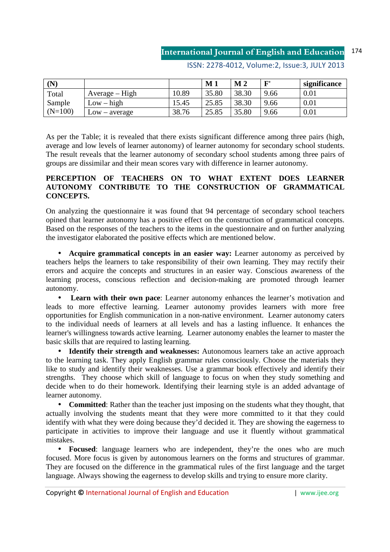| $(\mathbf{N})$ |                  |       | $\bf M$ 1 | $\bf{M}$ 2 | гч   | significance |
|----------------|------------------|-------|-----------|------------|------|--------------|
| Total          | $Average - High$ | 10.89 | 35.80     | 38.30      | 9.66 | 0.01         |
| Sample         | $Low - high$     | 15.45 | 25.85     | 38.30      | 9.66 | 0.01         |
| $(N=100)$      | $Low - average$  | 38.76 | 25.85     | 35.80      | 9.66 | 0.01         |

ISSN: 2278-4012, Volume:2, Issue:3, JULY 2013

As per the Table; it is revealed that there exists significant difference among three pairs (high, average and low levels of learner autonomy) of learner autonomy for secondary school students. The result reveals that the learner autonomy of secondary school students among three pairs of groups are dissimilar and their mean scores vary with difference in learner autonomy.

## **PERCEPTION OF TEACHERS ON TO WHAT EXTENT DOES LEARNER AUTONOMY CONTRIBUTE TO THE CONSTRUCTION OF GRAMMATICAL CONCEPTS.**

On analyzing the questionnaire it was found that 94 percentage of secondary school teachers opined that learner autonomy has a positive effect on the construction of grammatical concepts. Based on the responses of the teachers to the items in the questionnaire and on further analyzing the investigator elaborated the positive effects which are mentioned below.

• **Acquire grammatical concepts in an easier way:** Learner autonomy as perceived by teachers helps the learners to take responsibility of their own learning. They may rectify their errors and acquire the concepts and structures in an easier way. Conscious awareness of the learning process, conscious reflection and decision-making are promoted through learner autonomy.

**Learn with their own pace**: Learner autonomy enhances the learner's motivation and leads to more effective learning. Learner autonomy provides learners with more free opportunities for English communication in a non-native environment. Learner autonomy caters to the individual needs of learners at all levels and has a lasting influence. It enhances the learner's willingness towards active learning. Learner autonomy enables the learner to master the basic skills that are required to lasting learning.

• **Identify their strength and weaknesses:** Autonomous learners take an active approach to the learning task. They apply English grammar rules consciously. Choose the materials they like to study and identify their weaknesses. Use a grammar book effectively and identify their strengths. They choose which skill of language to focus on when they study something and decide when to do their homework. Identifying their learning style is an added advantage of learner autonomy.

• **Committed**: Rather than the teacher just imposing on the students what they thought, that actually involving the students meant that they were more committed to it that they could identify with what they were doing because they'd decided it. They are showing the eagerness to participate in activities to improve their language and use it fluently without grammatical mistakes.

• **Focused**: language learners who are independent, they're the ones who are much focused. More focus is given by autonomous learners on the forms and structures of grammar. They are focused on the difference in the grammatical rules of the first language and the target language. Always showing the eagerness to develop skills and trying to ensure more clarity.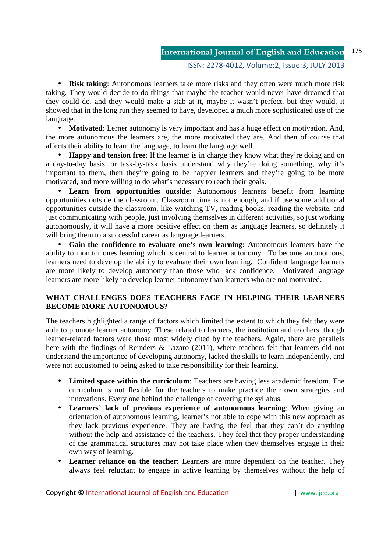#### ISSN: 2278-4012, Volume:2, Issue:3, JULY 2013

• **Risk taking**: Autonomous learners take more risks and they often were much more risk taking. They would decide to do things that maybe the teacher would never have dreamed that they could do, and they would make a stab at it, maybe it wasn't perfect, but they would, it showed that in the long run they seemed to have, developed a much more sophisticated use of the language.

• **Motivated:** Lerner autonomy is very important and has a huge effect on motivation. And, the more autonomous the learners are, the more motivated they are. And then of course that affects their ability to learn the language, to learn the language well.

• **Happy and tension free**: If the learner is in charge they know what they're doing and on a day-to-day basis, or task-by-task basis understand why they're doing something, why it's important to them, then they're going to be happier learners and they're going to be more motivated, and more willing to do what's necessary to reach their goals.

• **Learn from opportunities outside**: Autonomous learners benefit from learning opportunities outside the classroom. Classroom time is not enough, and if use some additional opportunities outside the classroom, like watching TV, reading books, reading the website, and just communicating with people, just involving themselves in different activities, so just working autonomously, it will have a more positive effect on them as language learners, so definitely it will bring them to a successful career as language learners.

• **Gain the confidence to evaluate one's own learning: A**utonomous learners have the ability to monitor ones learning which is central to learner autonomy. To become autonomous, learners need to develop the ability to evaluate their own learning. Confident language learners are more likely to develop autonomy than those who lack confidence. Motivated language learners are more likely to develop learner autonomy than learners who are not motivated.

## **WHAT CHALLENGES DOES TEACHERS FACE IN HELPING THEIR LEARNERS BECOME MORE AUTONOMOUS?**

The teachers highlighted a range of factors which limited the extent to which they felt they were able to promote learner autonomy. These related to learners, the institution and teachers, though learner-related factors were those most widely cited by the teachers. Again, there are parallels here with the findings of Reinders & Lazaro (2011), where teachers felt that learners did not understand the importance of developing autonomy, lacked the skills to learn independently, and were not accustomed to being asked to take responsibility for their learning.

- **Limited space within the curriculum**: Teachers are having less academic freedom. The curriculum is not flexible for the teachers to make practice their own strategies and innovations. Every one behind the challenge of covering the syllabus.
- **Learners' lack of previous experience of autonomous learning**: When giving an orientation of autonomous learning, learner's not able to cope with this new approach as they lack previous experience. They are having the feel that they can't do anything without the help and assistance of the teachers. They feel that they proper understanding of the grammatical structures may not take place when they themselves engage in their own way of learning.
- **Learner reliance on the teacher**: Learners are more dependent on the teacher. They always feel reluctant to engage in active learning by themselves without the help of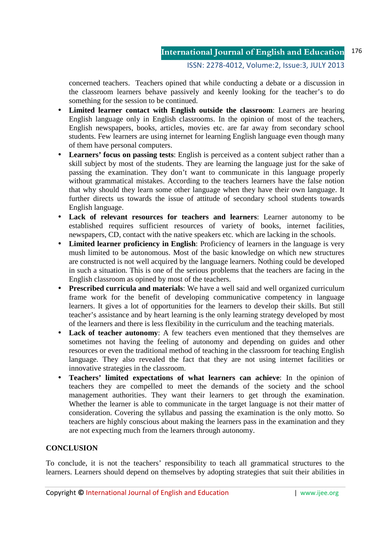## ISSN: 2278-4012, Volume:2, Issue:3, JULY 2013

concerned teachers. Teachers opined that while conducting a debate or a discussion in the classroom learners behave passively and keenly looking for the teacher's to do something for the session to be continued.

- **Limited learner contact with English outside the classroom**: Learners are hearing English language only in English classrooms. In the opinion of most of the teachers, English newspapers, books, articles, movies etc. are far away from secondary school students. Few learners are using internet for learning English language even though many of them have personal computers.
- Learners' focus on passing tests: English is perceived as a content subject rather than a skill subject by most of the students. They are learning the language just for the sake of passing the examination. They don't want to communicate in this language properly without grammatical mistakes. According to the teachers learners have the false notion that why should they learn some other language when they have their own language. It further directs us towards the issue of attitude of secondary school students towards English language.
- **Lack of relevant resources for teachers and learners**: Learner autonomy to be established requires sufficient resources of variety of books, internet facilities, newspapers, CD, contact with the native speakers etc. which are lacking in the schools.
- **Limited learner proficiency in English**: Proficiency of learners in the language is very mush limited to be autonomous. Most of the basic knowledge on which new structures are constructed is not well acquired by the language learners. Nothing could be developed in such a situation. This is one of the serious problems that the teachers are facing in the English classroom as opined by most of the teachers.
- **Prescribed curricula and materials**: We have a well said and well organized curriculum frame work for the benefit of developing communicative competency in language learners. It gives a lot of opportunities for the learners to develop their skills. But still teacher's assistance and by heart learning is the only learning strategy developed by most of the learners and there is less flexibility in the curriculum and the teaching materials.
- **Lack of teacher autonomy**: A few teachers even mentioned that they themselves are sometimes not having the feeling of autonomy and depending on guides and other resources or even the traditional method of teaching in the classroom for teaching English language. They also revealed the fact that they are not using internet facilities or innovative strategies in the classroom.
- **Teachers' limited expectations of what learners can achieve**: In the opinion of teachers they are compelled to meet the demands of the society and the school management authorities. They want their learners to get through the examination. Whether the learner is able to communicate in the target language is not their matter of consideration. Covering the syllabus and passing the examination is the only motto. So teachers are highly conscious about making the learners pass in the examination and they are not expecting much from the learners through autonomy.

## **CONCLUSION**

To conclude, it is not the teachers' responsibility to teach all grammatical structures to the learners. Learners should depend on themselves by adopting strategies that suit their abilities in